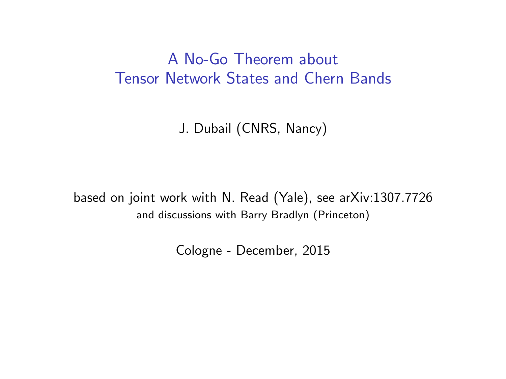### A No-Go Theorem about Tensor Network States and Chern Bands

J. Dubail (CNRS, Nancy)

based on joint work with N. Read (Yale), see arXiv:1307.7726 and discussions with Barry Bradlyn (Princeton)

Cologne - December, 2015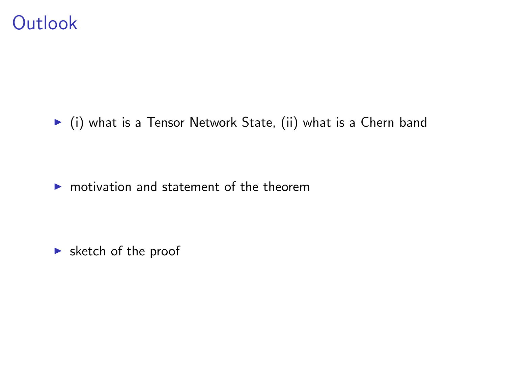## **Outlook**

 $\blacktriangleright$  (i) what is a Tensor Network State, (ii) what is a Chern band

 $\triangleright$  motivation and statement of the theorem

 $\blacktriangleright$  sketch of the proof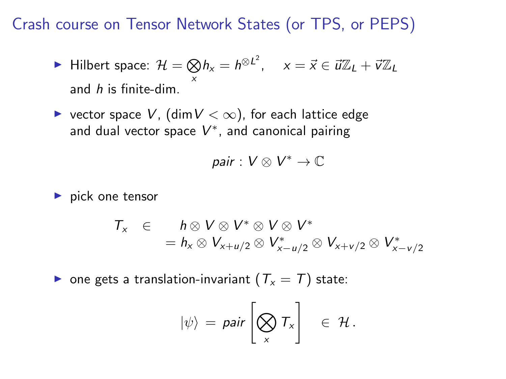Crash course on Tensor Network States (or TPS, or PEPS)

► Hilbert space: 
$$
\mathcal{H} = \bigotimes h_x = h^{\otimes L^2}
$$
,  $x = \vec{x} \in \vec{u} \mathbb{Z}_L + \vec{v} \mathbb{Z}_L$   
and *h* is finite-dim.

▶ vector space  $V$ , (dim  $V < \infty$ ), for each lattice edge and dual vector space  $V^*$ , and canonical pairing

$$
pair: V \otimes V^* \to \mathbb{C}
$$

 $\blacktriangleright$  pick one tensor

$$
T_x \in h \otimes V \otimes V^* \otimes V \otimes V^* = h_x \otimes V_{x+u/2} \otimes V_{x-u/2}^* \otimes V_{x+v/2} \otimes V_{x-v/2}^*
$$

**•** one gets a translation-invariant  $(T_x = T)$  state:

$$
|\psi\rangle = \text{pair}\left[\bigotimes_{x} T_{x}\right] \in \mathcal{H}.
$$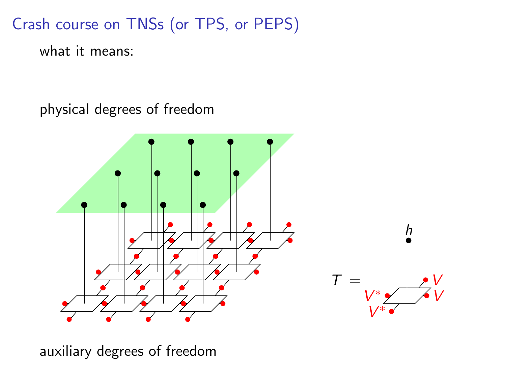Crash course on TNSs (or TPS, or PEPS)

what it means:

physical degrees of freedom



auxiliary degrees of freedom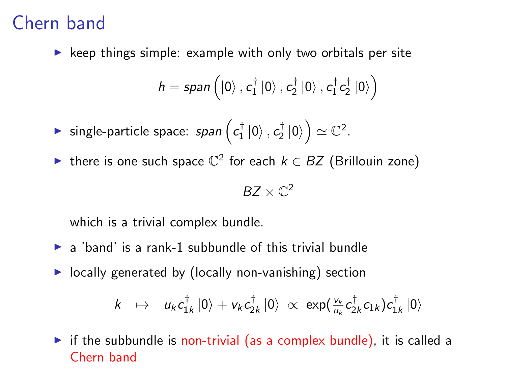# Chern band

 $\triangleright$  keep things simple: example with only two orbitals per site

$$
\mathit{h}=\mathit{span}\left(\left|0\right\rangle, c_{1}^{\dagger}\left|0\right\rangle, c_{2}^{\dagger}\left|0\right\rangle, c_{1}^{\dagger}c_{2}^{\dagger}\left|0\right\rangle\right)
$$

 $\blacktriangleright$  single-particle space:  $span\left(c_1^\dagger\ket{0}, c_2^\dagger\ket{0}\right)\simeq \mathbb{C}^2.$ 

**►** there is one such space  $\mathbb{C}^2$  for each  $k \in BZ$  (Brillouin zone)

$$
BZ\times\mathbb{C}^2
$$

which is a trivial complex bundle.

- $\triangleright$  a 'band' is a rank-1 subbundle of this trivial bundle
- $\triangleright$  locally generated by (locally non-vanishing) section

$$
k \quad \mapsto \quad u_k c_{1k}^\dagger \, |0\rangle + v_k c_{2k}^\dagger \, |0\rangle \, \propto \, \exp(\tfrac{v_k}{u_k} c_{2k}^\dagger c_{1k}) c_{1k}^\dagger \, |0\rangle
$$

 $\triangleright$  if the subbundle is non-trivial (as a complex bundle), it is called a Chern band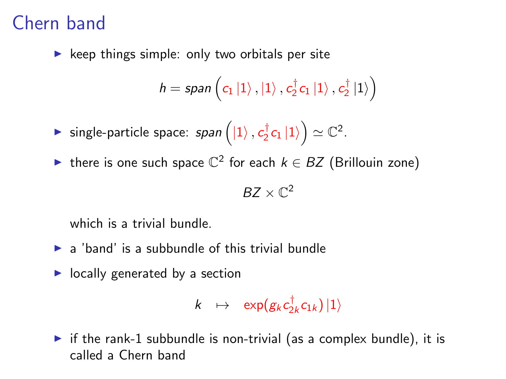# Chern band

 $\triangleright$  keep things simple: only two orbitals per site

$$
\textit{h}=\textit{span}\left(c_{1}\left|1\right\rangle ,\left|1\right\rangle ,c_{2}^{\dagger}c_{1}\left|1\right\rangle ,c_{2}^{\dagger}\left|1\right\rangle \right)
$$

 $\blacktriangleright$  single-particle space: span  $\left(\ket{1}, c_2^\dagger c_1 \ket{1}\right) \simeq \mathbb{C}^2.$ 

**►** there is one such space  $\mathbb{C}^2$  for each  $k \in BZ$  (Brillouin zone)

$$
BZ\times\mathbb{C}^2
$$

which is a trivial bundle.

- $\blacktriangleright$  a 'band' is a subbundle of this trivial bundle
- $\blacktriangleright$  locally generated by a section

$$
k\;\;\mapsto\;\;\exp(g_kc^\dagger_{2k}c_{1k})\ket{1}
$$

 $\triangleright$  if the rank-1 subbundle is non-trivial (as a complex bundle), it is called a Chern band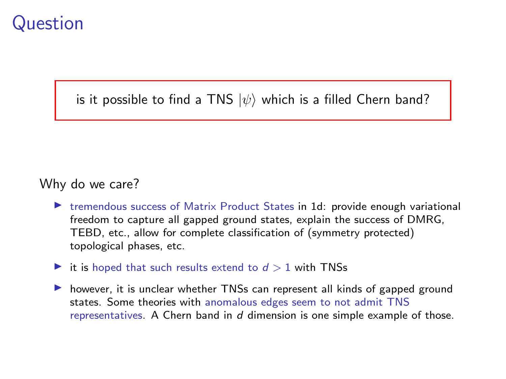## Question

is it possible to find a TNS  $|\psi\rangle$  which is a filled Chern band?

#### Why do we care?

- $\triangleright$  tremendous success of Matrix Product States in 1d: provide enough variational freedom to capture all gapped ground states, explain the success of DMRG, TEBD, etc., allow for complete classification of (symmetry protected) topological phases, etc.
- it is hoped that such results extend to  $d > 1$  with TNSs
- In however, it is unclear whether TNSs can represent all kinds of gapped ground states. Some theories with anomalous edges seem to not admit TNS representatives. A Chern band in  $d$  dimension is one simple example of those.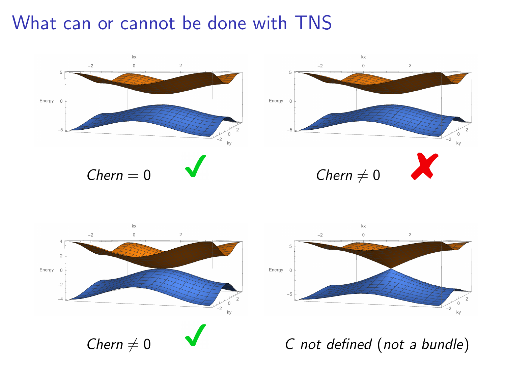## What can or cannot be done with TNS





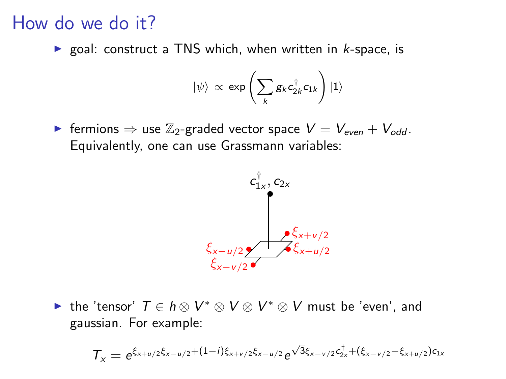### How do we do it?

 $\triangleright$  goal: construct a TNS which, when written in *k*-space, is

$$
|\psi\rangle \, \propto \, \exp\left(\sum_k g_k c_{2k}^\dagger c_{1k}\right) |1\rangle
$$

► fermions  $\Rightarrow$  use  $\mathbb{Z}_2$ -graded vector space  $V = V_{even} + V_{odd}$ . Equivalently, one can use Grassmann variables:



► the 'tensor'  $T \in h \otimes V^* \otimes V \otimes V^* \otimes V$  must be 'even', and gaussian. For example:

$$
\mathcal{T}_x = e^{\xi_{x+u/2}\xi_{x-u/2} + (1-i)\xi_{x+v/2}\xi_{x-u/2}} e^{\sqrt{3}\xi_{x-v/2}c_{2x}^\dagger + (\xi_{x-v/2} - \xi_{x+u/2})c_{1x}}
$$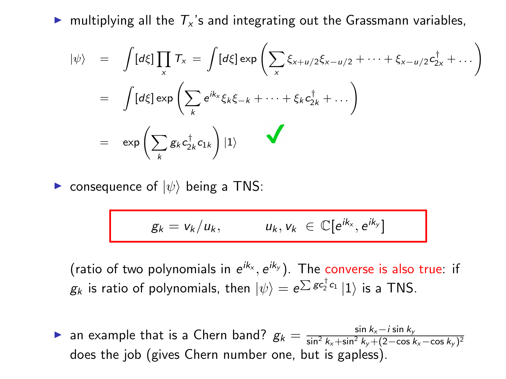In multiplying all the  $T_x$ 's and integrating out the Grassmann variables,

$$
\begin{array}{lcl} |\psi\rangle & = & \displaystyle \int [d\xi] \prod_x \mathcal{T}_x = \int [d\xi] \exp\left(\sum_x \xi_{x+u/2} \xi_{x-u/2} + \dots + \xi_{x-u/2} c_{2x}^\dagger + \dots\right) \\ \\ & = & \displaystyle \int [d\xi] \exp\left(\sum_k e^{ik_x} \xi_k \xi_{-k} + \dots + \xi_k c_{2k}^\dagger + \dots\right) \\ \\ & = & \displaystyle \exp\left(\sum_k g_k c_{2k}^\dagger c_{1k}\right) |1\rangle \end{array}
$$

**E** consequence of  $|\psi\rangle$  being a TNS:

$$
g_k = v_k/u_k, \qquad u_k, v_k \in \mathbb{C}[e^{ik_x}, e^{ik_y}]
$$

(ratio of two polynomials in  $e^{ik_x}$ ,  $e^{ik_y}$ ). The converse is also true: if  $g_k$  is ratio of polynomials, then  $\ket{\psi} = e^{\sum g c^\dagger_j c_1}\ket{1}$  is a TNS.

**ightarroon** an example that is a Chern band?  $g_k = \frac{\sin k_x - i \sin k_y}{\sin^2 k_x + \sin^2 k_y + (2 - \cos k_y)}$  $\sin^2 k_x + \sin^2 k_y + (2 - \cos k_x - \cos k_y)^2$ does the job (gives Chern number one, but is gapless).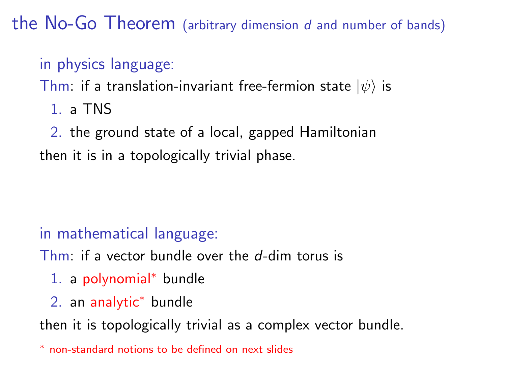the No-Go Theorem (arbitrary dimension  $d$  and number of bands)

### in physics language:

Thm: if a translation-invariant free-fermion state  $|\psi\rangle$  is

1. a TNS

2. the ground state of a local, gapped Hamiltonian then it is in a topologically trivial phase.

### in mathematical language:

Thm: if a vector bundle over the  $d$ -dim torus is

- 1. a polynomial<sup>∗</sup> bundle
- 2. an analytic<sup>∗</sup> bundle

then it is topologically trivial as a complex vector bundle.

<sup>∗</sup> non-standard notions to be defined on next slides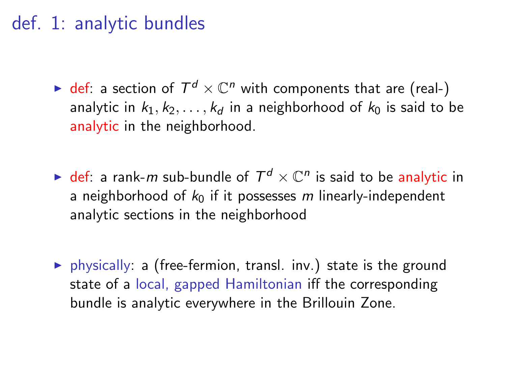### def. 1: analytic bundles

- $\blacktriangleright$  def: a section of  $T^d \times \mathbb{C}^n$  with components that are (real-) analytic in  $k_1, k_2, \ldots, k_d$  in a neighborhood of  $k_0$  is said to be analytic in the neighborhood.
- $\blacktriangleright$  def: a rank-m sub-bundle of  $\mathcal{T}^d\times \mathbb{C}^n$  is said to be analytic in a neighborhood of  $k_0$  if it possesses m linearly-independent analytic sections in the neighborhood
- $\triangleright$  physically: a (free-fermion, transl. inv.) state is the ground state of a local, gapped Hamiltonian iff the corresponding bundle is analytic everywhere in the Brillouin Zone.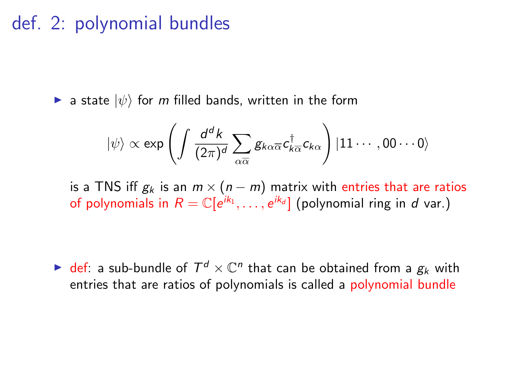### def. 2: polynomial bundles

**If** a state  $|\psi\rangle$  for m filled bands, written in the form

$$
|\psi\rangle \propto \exp\left(\int \frac{d^dk}{(2\pi)^d}\sum_{\alpha\overline{\alpha}}g_{k\alpha\overline{\alpha}}c_{k\overline{\alpha}}^\dagger c_{k\alpha}\right)|11\cdots,00\cdots 0\rangle
$$

is a TNS iff  $g_k$  is an  $m \times (n - m)$  matrix with entries that are ratios of polynomials in  $R = \mathbb{C}[e^{ik_1}, \ldots, e^{ik_d}]$  (polynomial ring in d var.)

 $\blacktriangleright$  def: a sub-bundle of  $\mathcal{T}^d \times \mathbb{C}^n$  that can be obtained from a  $g_k$  with entries that are ratios of polynomials is called a polynomial bundle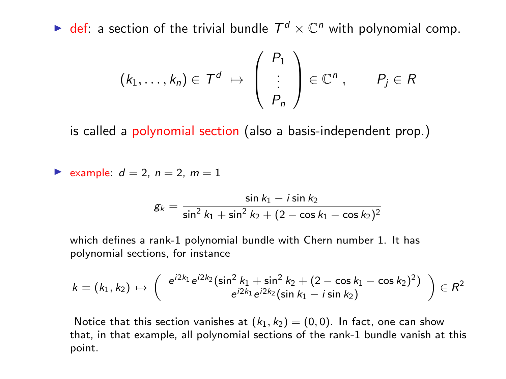$\blacktriangleright$  def: a section of the trivial bundle  $\mathcal{T}^d \times \mathbb{C}^n$  with polynomial comp.

$$
(k_1,\ldots,k_n)\in\mathcal{T}^d\;\mapsto\;\left(\begin{array}{c}P_1\\ \vdots\\ P_n\end{array}\right)\in\mathbb{C}^n\;,\qquad P_j\in R
$$

is called a polynomial section (also a basis-independent prop.)

 $\blacktriangleright$  example:  $d = 2$ ,  $n = 2$ ,  $m = 1$ 

$$
g_k = \frac{\sin k_1 - i \sin k_2}{\sin^2 k_1 + \sin^2 k_2 + (2 - \cos k_1 - \cos k_2)^2}
$$

which defines a rank-1 polynomial bundle with Chern number 1. It has polynomial sections, for instance

$$
k = (k_1, k_2) \mapsto \begin{pmatrix} e^{i2k_1} e^{i2k_2} (\sin^2 k_1 + \sin^2 k_2 + (2 - \cos k_1 - \cos k_2)^2) \\ e^{i2k_1} e^{i2k_2} (\sin k_1 - i \sin k_2) \end{pmatrix} \in R^2
$$

Notice that this section vanishes at  $(k_1, k_2) = (0, 0)$ . In fact, one can show that, in that example, all polynomial sections of the rank-1 bundle vanish at this point.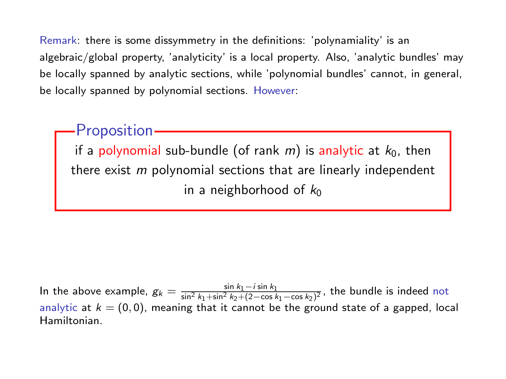Remark: there is some dissymmetry in the definitions: 'polynamiality' is an algebraic/global property, 'analyticity' is a local property. Also, 'analytic bundles' may be locally spanned by analytic sections, while 'polynomial bundles' cannot, in general, be locally spanned by polynomial sections. However:

**Proposition** 

if a polynomial sub-bundle (of rank  $m)$  is analytic at  $k_{0}$ , then there exist  $\emph{m}$  polynomial sections that are linearly independent in a neighborhood of  $k_0$ 

In the above example,  $g_k = \frac{\sin k_1 - i \sin k_1}{\sin^2 k_1 + \sin^2 k_2 + (2 - \cos k_1 - \cos k_2)^2}$ , the bundle is indeed not analytic at  $k = (0, 0)$ , meaning that it cannot be the ground state of a gapped, local Hamiltonian.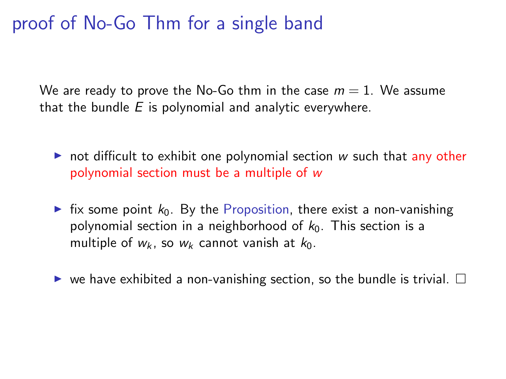## proof of No-Go Thm for a single band

We are ready to prove the No-Go thm in the case  $m = 1$ . We assume that the bundle  $E$  is polynomial and analytic everywhere.

- $\triangleright$  not difficult to exhibit one polynomial section w such that any other polynomial section must be a multiple of w
- In fix some point  $k_0$ . By the Proposition, there exist a non-vanishing polynomial section in a neighborhood of  $k_0$ . This section is a multiple of  $w_k$ , so  $w_k$  cannot vanish at  $k_0$ .
- $\triangleright$  we have exhibited a non-vanishing section, so the bundle is trivial.  $\Box$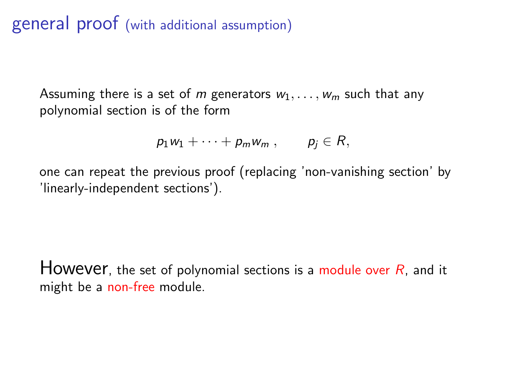general proof (with additional assumption)

Assuming there is a set of m generators  $w_1, \ldots, w_m$  such that any polynomial section is of the form

$$
p_1w_1+\cdots+p_mw_m, \qquad p_j\in R,
$$

one can repeat the previous proof (replacing 'non-vanishing section' by 'linearly-independent sections').

However, the set of polynomial sections is a module over  $R$ , and it might be a non-free module.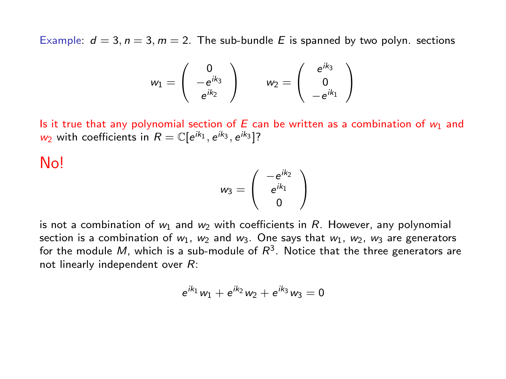Example:  $d = 3$ ,  $n = 3$ ,  $m = 2$ . The sub-bundle E is spanned by two polyn. sections

$$
w_1=\left(\begin{array}{c}0\\-e^{ik_3}\\e^{ik_2}\end{array}\right)\qquad w_2=\left(\begin{array}{c}e^{ik_3}\\0\\-e^{ik_1}\end{array}\right)
$$

Is it true that any polynomial section of E can be written as a combination of  $w_1$  and  $w_2$  with coefficients in  $R = \mathbb{C}[e^{ik_1}, e^{ik_3}, e^{ik_3}]$ ?

No!

$$
w_3=\left(\begin{array}{c}-e^{ik_2}\\e^{ik_1}\\0\end{array}\right)
$$

is not a combination of  $w_1$  and  $w_2$  with coefficients in R. However, any polynomial section is a combination of  $w_1$ ,  $w_2$  and  $w_3$ . One says that  $w_1$ ,  $w_2$ ,  $w_3$  are generators for the module  $M$ , which is a sub-module of  $R^3$ . Notice that the three generators are not linearly independent over R:

$$
e^{ik_1}w_1 + e^{ik_2}w_2 + e^{ik_3}w_3 = 0
$$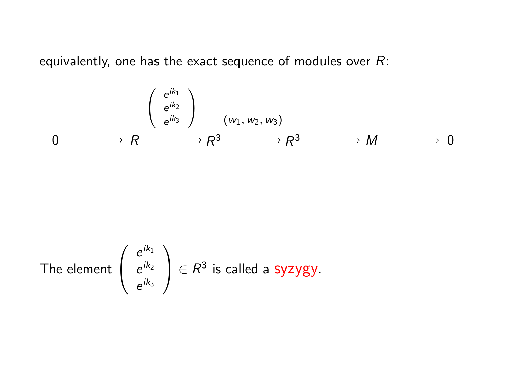equivalently, one has the exact sequence of modules over  $R$ :

$$
\begin{array}{ccc}\n & \left(\begin{array}{c} e^{ik_1} \\ e^{ik_2} \end{array}\right) & \left(\begin{array}{c} w_1, w_2, w_3 \end{array}\right) \\
0 & \xrightarrow{\qquad} R \xrightarrow{\qquad} R^3 \xrightarrow{\qquad} R^3 \xrightarrow{\qquad} M \xrightarrow{\qquad} 0\n\end{array}
$$

The element 
$$
\begin{pmatrix} e^{ik_1} \\ e^{ik_2} \\ e^{ik_3} \end{pmatrix} \in R^3
$$
 is called a **syzygy**.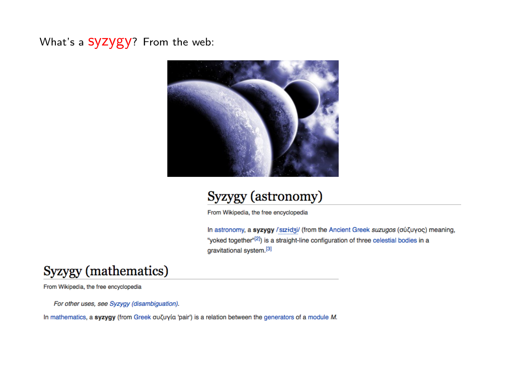What's a SYZYGY? From the web:



#### Syzygy (astronomy)

From Wikipedia, the free encyclopedia

In astronomy, a syzygy / sɪzidʒi/ (from the Ancient Greek suzugos (σύζυγος) meaning, "yoked together"<sup>[2]</sup>) is a straight-line configuration of three celestial bodies in a gravitational system.<sup>[3]</sup>

#### Syzygy (mathematics)

From Wikipedia, the free encyclopedia

For other uses, see Syzygy (disambiguation).

In mathematics, a syzygy (from Greek συζυγία 'pair') is a relation between the generators of a module M.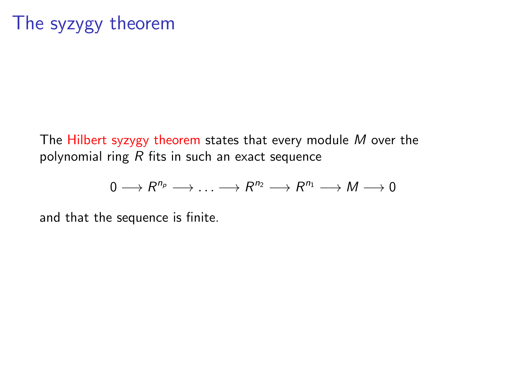The Hilbert syzygy theorem states that every module  $M$  over the polynomial ring  $R$  fits in such an exact sequence

$$
0\longrightarrow R^{n_p}\longrightarrow \ldots \longrightarrow R^{n_2}\longrightarrow R^{n_1}\longrightarrow M\longrightarrow 0
$$

and that the sequence is finite.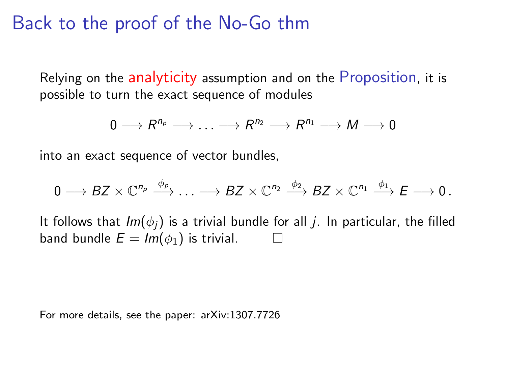## Back to the proof of the No-Go thm

Relying on the analyticity assumption and on the Proposition, it is possible to turn the exact sequence of modules

$$
0\longrightarrow R^{n_p}\longrightarrow \ldots \longrightarrow R^{n_2}\longrightarrow R^{n_1}\longrightarrow M\longrightarrow 0
$$

into an exact sequence of vector bundles,

$$
0 \longrightarrow BZ \times \mathbb{C}^{n_p} \xrightarrow{\phi_p} \ldots \longrightarrow BZ \times \mathbb{C}^{n_2} \xrightarrow{\phi_2} BZ \times \mathbb{C}^{n_1} \xrightarrow{\phi_1} E \longrightarrow 0.
$$

It follows that  $Im(\phi_i)$  is a trivial bundle for all *j*. In particular, the filled band bundle  $E = Im(\phi_1)$  is trivial.

For more details, see the paper: arXiv:1307.7726